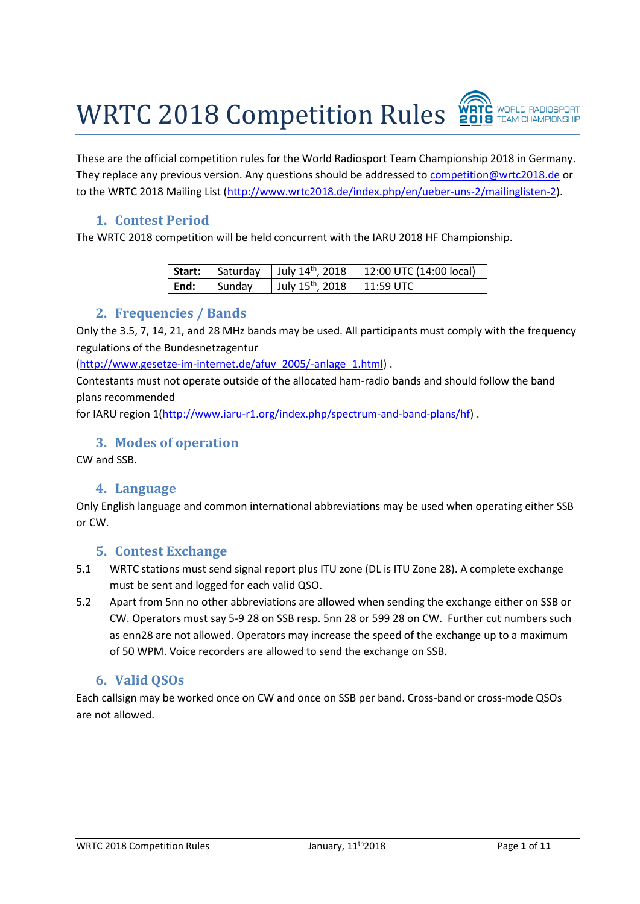WRTC 2018 Competition Rules



These are the official competition rules for the World Radiosport Team Championship 2018 in Germany. They replace any previous version. Any questions should be addressed to [competition@wrtc2018.de](mailto:competition@wrtc2018.de) or to the WRTC 2018 Mailing List [\(http://www.wrtc2018.de/index.php/en/ueber-uns-2/mailinglisten-2\)](http://www.wrtc2018.de/index.php/en/ueber-uns-2/mailinglisten-2).

## **1. Contest Period**

The WRTC 2018 competition will be held concurrent with the IARU 2018 HF Championship.

|      |        |                                          | <b>Start:</b> Saturday   July $14^{th}$ , 2018   12:00 UTC (14:00 local) |
|------|--------|------------------------------------------|--------------------------------------------------------------------------|
| End: | Sunday | July $15^{\text{th}}$ , 2018   11:59 UTC |                                                                          |

#### **2. Frequencies / Bands**

Only the 3.5, 7, 14, 21, and 28 MHz bands may be used. All participants must comply with the frequency regulations of the Bundesnetzagentur

[\(http://www.gesetze-im-internet.de/afuv\\_2005/-anlage\\_1.html\)](http://www.gesetze-im-internet.de/afuv_2005/-anlage_1.html) .

Contestants must not operate outside of the allocated ham-radio bands and should follow the band plans recommended

for IARU region 1[\(http://www.iaru-r1.org/index.php/spectrum-and-band-plans/hf\)](http://www.iaru-r1.org/index.php/spectrum-and-band-plans/hf) .

#### **3. Modes of operation**

CW and SSB.

## **4. Language**

Only English language and common international abbreviations may be used when operating either SSB or CW.

#### **5. Contest Exchange**

- 5.1 WRTC stations must send signal report plus ITU zone (DL is ITU Zone 28). A complete exchange must be sent and logged for each valid QSO.
- 5.2 Apart from 5nn no other abbreviations are allowed when sending the exchange either on SSB or CW. Operators must say 5-9 28 on SSB resp. 5nn 28 or 599 28 on CW. Further cut numbers such as enn28 are not allowed. Operators may increase the speed of the exchange up to a maximum of 50 WPM. Voice recorders are allowed to send the exchange on SSB.

## **6. Valid QSOs**

Each callsign may be worked once on CW and once on SSB per band. Cross-band or cross-mode QSOs are not allowed.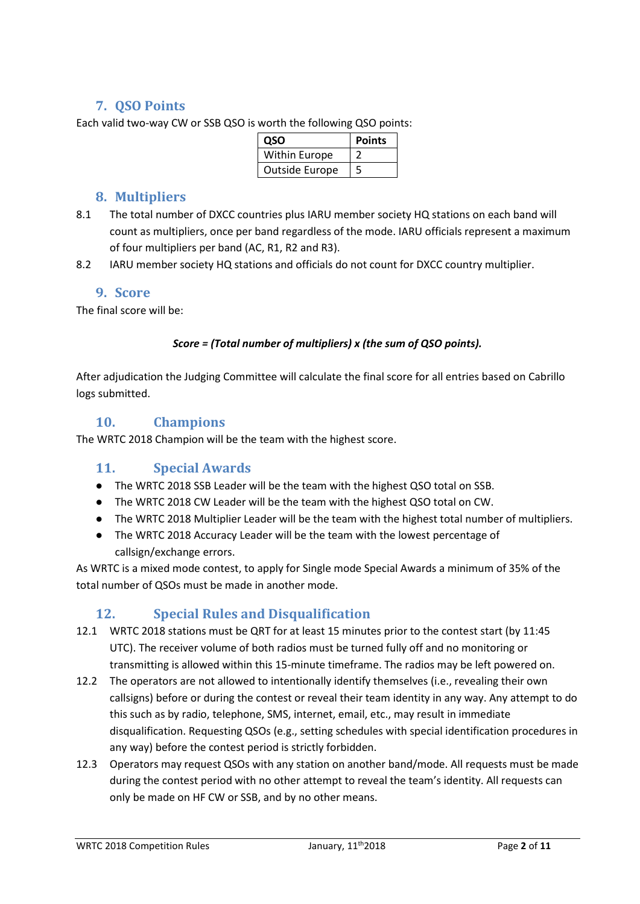## **7. QSO Points**

Each valid two-way CW or SSB QSO is worth the following QSO points:

| OSO                   | <b>Points</b> |
|-----------------------|---------------|
| Within Europe         |               |
| <b>Outside Europe</b> |               |

## **8. Multipliers**

- 8.1 The total number of DXCC countries plus IARU member society HQ stations on each band will count as multipliers, once per band regardless of the mode. IARU officials represent a maximum of four multipliers per band (AC, R1, R2 and R3).
- 8.2 IARU member society HQ stations and officials do not count for DXCC country multiplier.

#### **9. Score**

The final score will be:

#### *Score = (Total number of multipliers) x (the sum of QSO points).*

After adjudication the Judging Committee will calculate the final score for all entries based on Cabrillo logs submitted.

## **10. Champions**

The WRTC 2018 Champion will be the team with the highest score.

## **11. Special Awards**

- The WRTC 2018 SSB Leader will be the team with the highest QSO total on SSB.
- The WRTC 2018 CW Leader will be the team with the highest QSO total on CW.
- The WRTC 2018 Multiplier Leader will be the team with the highest total number of multipliers.
- The WRTC 2018 Accuracy Leader will be the team with the lowest percentage of callsign/exchange errors.

As WRTC is a mixed mode contest, to apply for Single mode Special Awards a minimum of 35% of the total number of QSOs must be made in another mode.

## **12. Special Rules and Disqualification**

- 12.1 WRTC 2018 stations must be QRT for at least 15 minutes prior to the contest start (by 11:45 UTC). The receiver volume of both radios must be turned fully off and no monitoring or transmitting is allowed within this 15-minute timeframe. The radios may be left powered on.
- 12.2 The operators are not allowed to intentionally identify themselves (i.e., revealing their own callsigns) before or during the contest or reveal their team identity in any way. Any attempt to do this such as by radio, telephone, SMS, internet, email, etc., may result in immediate disqualification. Requesting QSOs (e.g., setting schedules with special identification procedures in any way) before the contest period is strictly forbidden.
- 12.3 Operators may request QSOs with any station on another band/mode. All requests must be made during the contest period with no other attempt to reveal the team's identity. All requests can only be made on HF CW or SSB, and by no other means.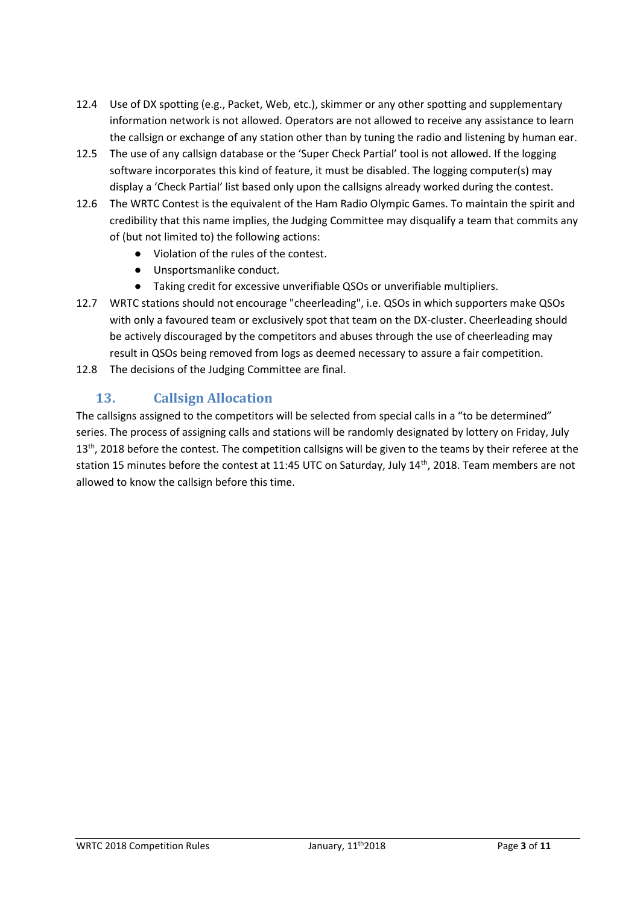- 12.4 Use of DX spotting (e.g., Packet, Web, etc.), skimmer or any other spotting and supplementary information network is not allowed. Operators are not allowed to receive any assistance to learn the callsign or exchange of any station other than by tuning the radio and listening by human ear.
- 12.5 The use of any callsign database or the 'Super Check Partial' tool is not allowed. If the logging software incorporates this kind of feature, it must be disabled. The logging computer(s) may display a 'Check Partial' list based only upon the callsigns already worked during the contest.
- 12.6 The WRTC Contest is the equivalent of the Ham Radio Olympic Games. To maintain the spirit and credibility that this name implies, the Judging Committee may disqualify a team that commits any of (but not limited to) the following actions:
	- Violation of the rules of the contest.
	- Unsportsmanlike conduct.
	- Taking credit for excessive unverifiable QSOs or unverifiable multipliers.
- 12.7 WRTC stations should not encourage "cheerleading", i.e. QSOs in which supporters make QSOs with only a favoured team or exclusively spot that team on the DX-cluster. Cheerleading should be actively discouraged by the competitors and abuses through the use of cheerleading may result in QSOs being removed from logs as deemed necessary to assure a fair competition.
- 12.8 The decisions of the Judging Committee are final.

## **13. Callsign Allocation**

The callsigns assigned to the competitors will be selected from special calls in a "to be determined" series. The process of assigning calls and stations will be randomly designated by lottery on Friday, July  $13<sup>th</sup>$ , 2018 before the contest. The competition callsigns will be given to the teams by their referee at the station 15 minutes before the contest at 11:45 UTC on Saturday, July 14<sup>th</sup>, 2018. Team members are not allowed to know the callsign before this time.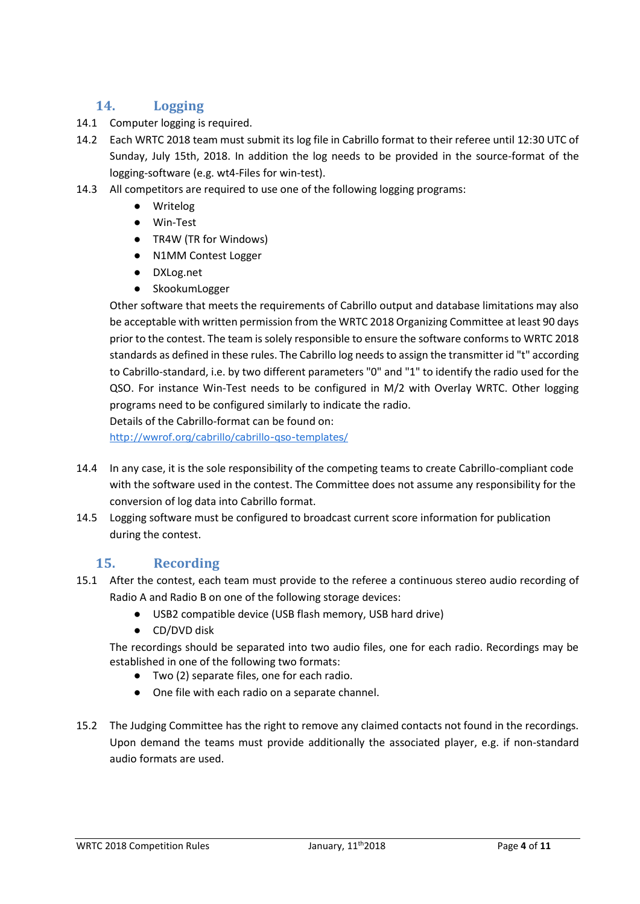## **14. Logging**

- 14.1 Computer logging is required.
- 14.2 Each WRTC 2018 team must submit its log file in Cabrillo format to their referee until 12:30 UTC of Sunday, July 15th, 2018. In addition the log needs to be provided in the source-format of the logging-software (e.g. wt4-Files for win-test).
- 14.3 All competitors are required to use one of the following logging programs:
	- Writelog
	- Win-Test
	- TR4W (TR for Windows)
	- N1MM Contest Logger
	- DXLog.net
	- SkookumLogger

Other software that meets the requirements of Cabrillo output and database limitations may also be acceptable with written permission from the WRTC 2018 Organizing Committee at least 90 days prior to the contest. The team is solely responsible to ensure the software conforms to WRTC 2018 standards as defined in these rules. The Cabrillo log needs to assign the transmitter id "t" according to Cabrillo-standard, i.e. by two different parameters "0" and "1" to identify the radio used for the QSO. For instance Win-Test needs to be configured in M/2 with Overlay WRTC. Other logging programs need to be configured similarly to indicate the radio.

Details of the Cabrillo-format can be found on:

<http://wwrof.org/cabrillo/cabrillo-qso-templates/>

- 14.4 In any case, it is the sole responsibility of the competing teams to create Cabrillo-compliant code with the software used in the contest. The Committee does not assume any responsibility for the conversion of log data into Cabrillo format.
- 14.5 Logging software must be configured to broadcast current score information for publication during the contest.

## **15. Recording**

- 15.1 After the contest, each team must provide to the referee a continuous stereo audio recording of Radio A and Radio B on one of the following storage devices:
	- USB2 compatible device (USB flash memory, USB hard drive)
	- CD/DVD disk

The recordings should be separated into two audio files, one for each radio. Recordings may be established in one of the following two formats:

- Two (2) separate files, one for each radio.
- One file with each radio on a separate channel.
- 15.2 The Judging Committee has the right to remove any claimed contacts not found in the recordings. Upon demand the teams must provide additionally the associated player, e.g. if non-standard audio formats are used.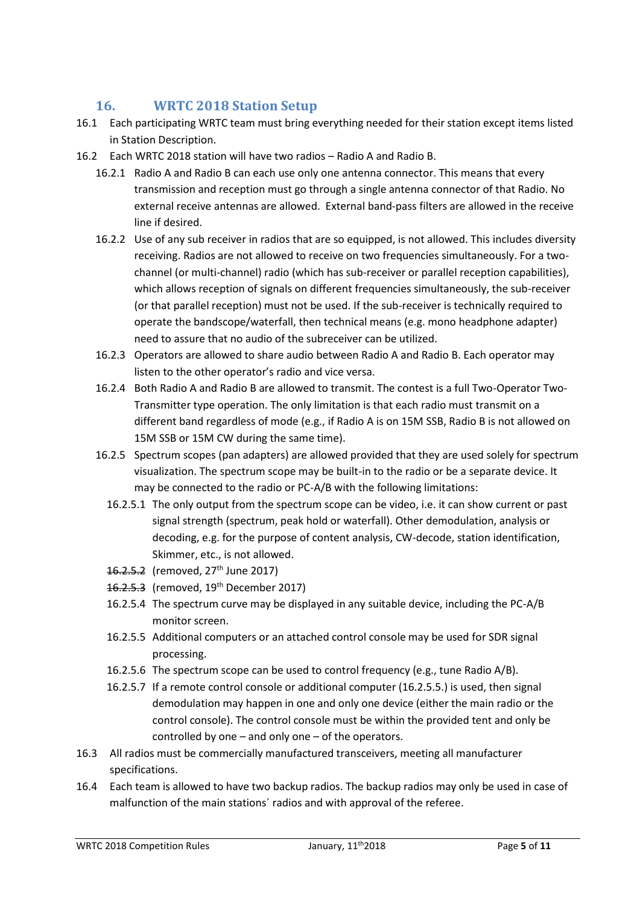## **16. WRTC 2018 Station Setup**

- 16.1 Each participating WRTC team must bring everything needed for their station except items listed in Station Description.
- 16.2 Each WRTC 2018 station will have two radios Radio A and Radio B.
	- 16.2.1 Radio A and Radio B can each use only one antenna connector. This means that every transmission and reception must go through a single antenna connector of that Radio. No external receive antennas are allowed. External band-pass filters are allowed in the receive line if desired.
	- 16.2.2 Use of any sub receiver in radios that are so equipped, is not allowed. This includes diversity receiving. Radios are not allowed to receive on two frequencies simultaneously. For a twochannel (or multi-channel) radio (which has sub-receiver or parallel reception capabilities), which allows reception of signals on different frequencies simultaneously, the sub-receiver (or that parallel reception) must not be used. If the sub-receiver is technically required to operate the bandscope/waterfall, then technical means (e.g. mono headphone adapter) need to assure that no audio of the subreceiver can be utilized.
	- 16.2.3 Operators are allowed to share audio between Radio A and Radio B. Each operator may listen to the other operator's radio and vice versa.
	- 16.2.4 Both Radio A and Radio B are allowed to transmit. The contest is a full Two-Operator Two-Transmitter type operation. The only limitation is that each radio must transmit on a different band regardless of mode (e.g., if Radio A is on 15M SSB, Radio B is not allowed on 15M SSB or 15M CW during the same time).
	- 16.2.5 Spectrum scopes (pan adapters) are allowed provided that they are used solely for spectrum visualization. The spectrum scope may be built-in to the radio or be a separate device. It may be connected to the radio or PC-A/B with the following limitations:
		- 16.2.5.1 The only output from the spectrum scope can be video, i.e. it can show current or past signal strength (spectrum, peak hold or waterfall). Other demodulation, analysis or decoding, e.g. for the purpose of content analysis, CW-decode, station identification, Skimmer, etc., is not allowed.
		- 16.2.5.2 (removed, 27<sup>th</sup> June 2017)
		- 16.2.5.3 (removed, 19<sup>th</sup> December 2017)
		- 16.2.5.4 The spectrum curve may be displayed in any suitable device, including the PC-A/B monitor screen.
		- 16.2.5.5 Additional computers or an attached control console may be used for SDR signal processing.
		- 16.2.5.6 The spectrum scope can be used to control frequency (e.g., tune Radio A/B).
		- 16.2.5.7 If a remote control console or additional computer (16.2.5.5.) is used, then signal demodulation may happen in one and only one device (either the main radio or the control console). The control console must be within the provided tent and only be controlled by one – and only one – of the operators.
- 16.3 All radios must be commercially manufactured transceivers, meeting all manufacturer specifications.
- 16.4 Each team is allowed to have two backup radios. The backup radios may only be used in case of malfunction of the main stations´ radios and with approval of the referee.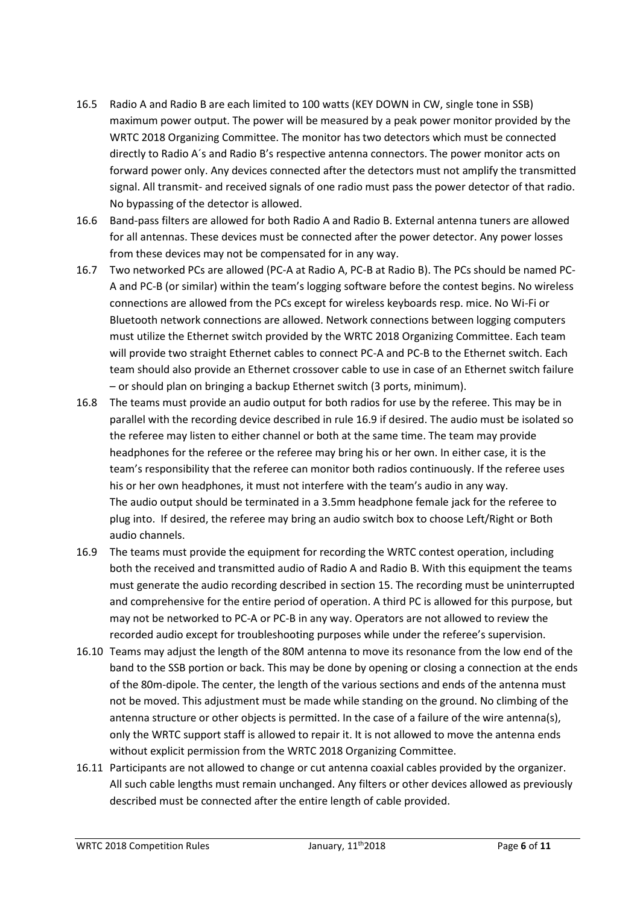- 16.5 Radio A and Radio B are each limited to 100 watts (KEY DOWN in CW, single tone in SSB) maximum power output. The power will be measured by a peak power monitor provided by the WRTC 2018 Organizing Committee. The monitor has two detectors which must be connected directly to Radio A´s and Radio B's respective antenna connectors. The power monitor acts on forward power only. Any devices connected after the detectors must not amplify the transmitted signal. All transmit- and received signals of one radio must pass the power detector of that radio. No bypassing of the detector is allowed.
- 16.6 Band-pass filters are allowed for both Radio A and Radio B. External antenna tuners are allowed for all antennas. These devices must be connected after the power detector. Any power losses from these devices may not be compensated for in any way.
- 16.7 Two networked PCs are allowed (PC-A at Radio A, PC-B at Radio B). The PCs should be named PC-A and PC-B (or similar) within the team's logging software before the contest begins. No wireless connections are allowed from the PCs except for wireless keyboards resp. mice. No Wi-Fi or Bluetooth network connections are allowed. Network connections between logging computers must utilize the Ethernet switch provided by the WRTC 2018 Organizing Committee. Each team will provide two straight Ethernet cables to connect PC-A and PC-B to the Ethernet switch. Each team should also provide an Ethernet crossover cable to use in case of an Ethernet switch failure – or should plan on bringing a backup Ethernet switch (3 ports, minimum).
- 16.8 The teams must provide an audio output for both radios for use by the referee. This may be in parallel with the recording device described in rule 16.9 if desired. The audio must be isolated so the referee may listen to either channel or both at the same time. The team may provide headphones for the referee or the referee may bring his or her own. In either case, it is the team's responsibility that the referee can monitor both radios continuously. If the referee uses his or her own headphones, it must not interfere with the team's audio in any way. The audio output should be terminated in a 3.5mm headphone female jack for the referee to plug into. If desired, the referee may bring an audio switch box to choose Left/Right or Both audio channels.
- 16.9 The teams must provide the equipment for recording the WRTC contest operation, including both the received and transmitted audio of Radio A and Radio B. With this equipment the teams must generate the audio recording described in section 15. The recording must be uninterrupted and comprehensive for the entire period of operation. A third PC is allowed for this purpose, but may not be networked to PC-A or PC-B in any way. Operators are not allowed to review the recorded audio except for troubleshooting purposes while under the referee's supervision.
- 16.10 Teams may adjust the length of the 80M antenna to move its resonance from the low end of the band to the SSB portion or back. This may be done by opening or closing a connection at the ends of the 80m-dipole. The center, the length of the various sections and ends of the antenna must not be moved. This adjustment must be made while standing on the ground. No climbing of the antenna structure or other objects is permitted. In the case of a failure of the wire antenna(s), only the WRTC support staff is allowed to repair it. It is not allowed to move the antenna ends without explicit permission from the WRTC 2018 Organizing Committee.
- 16.11 Participants are not allowed to change or cut antenna coaxial cables provided by the organizer. All such cable lengths must remain unchanged. Any filters or other devices allowed as previously described must be connected after the entire length of cable provided.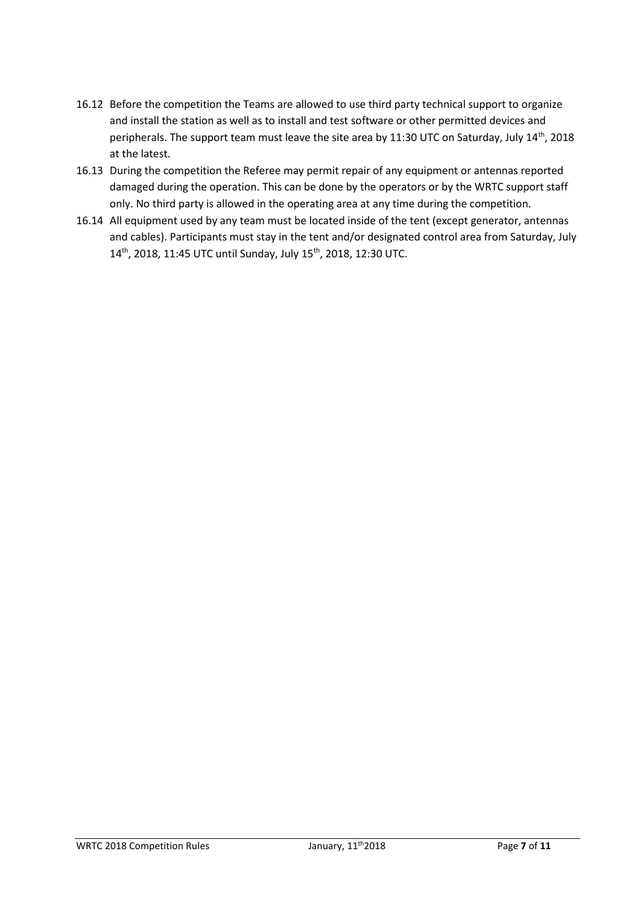- 16.12 Before the competition the Teams are allowed to use third party technical support to organize and install the station as well as to install and test software or other permitted devices and peripherals. The support team must leave the site area by 11:30 UTC on Saturday, July 14th, 2018 at the latest.
- 16.13 During the competition the Referee may permit repair of any equipment or antennas reported damaged during the operation. This can be done by the operators or by the WRTC support staff only. No third party is allowed in the operating area at any time during the competition.
- 16.14 All equipment used by any team must be located inside of the tent (except generator, antennas and cables). Participants must stay in the tent and/or designated control area from Saturday, July 14th, 2018, 11:45 UTC until Sunday, July 15th, 2018, 12:30 UTC.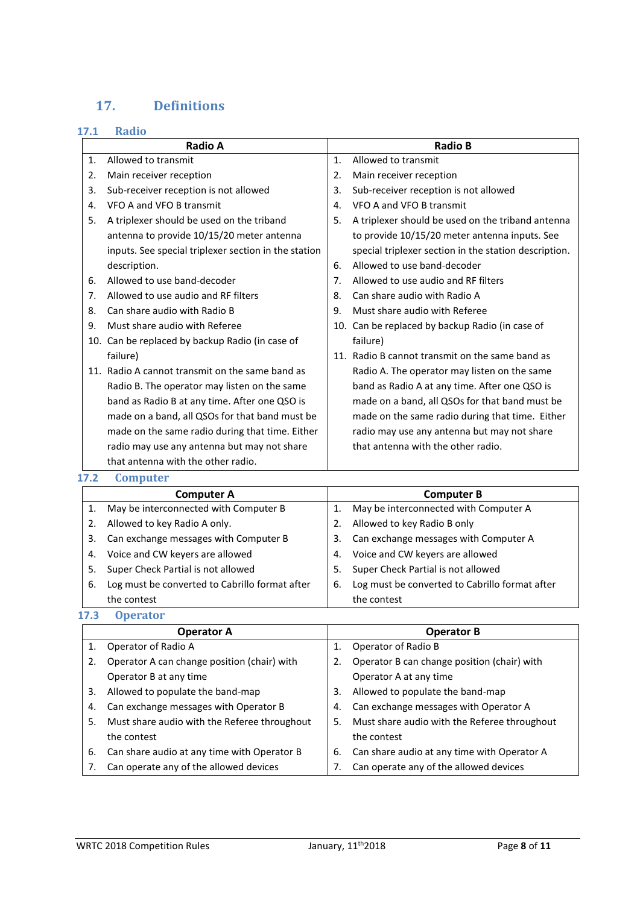# **17. Definitions**

#### **17.1 Radio**

|     | Radio A                                              |    | <b>Radio B</b>                                        |
|-----|------------------------------------------------------|----|-------------------------------------------------------|
| 1.  | Allowed to transmit                                  | 1. | Allowed to transmit                                   |
| 2.  | Main receiver reception                              | 2. | Main receiver reception                               |
| 3.  | Sub-receiver reception is not allowed                | 3. | Sub-receiver reception is not allowed                 |
| 4.  | VFO A and VFO B transmit                             | 4. | VFO A and VFO B transmit                              |
| 5.  | A triplexer should be used on the triband            | 5. | A triplexer should be used on the triband antenna     |
|     | antenna to provide 10/15/20 meter antenna            |    | to provide 10/15/20 meter antenna inputs. See         |
|     | inputs. See special triplexer section in the station |    | special triplexer section in the station description. |
|     | description.                                         | 6. | Allowed to use band-decoder                           |
| 6.  | Allowed to use band-decoder                          | 7. | Allowed to use audio and RF filters                   |
| 7.  | Allowed to use audio and RF filters                  | 8. | Can share audio with Radio A                          |
| 8.  | Can share audio with Radio B                         | 9. | Must share audio with Referee                         |
| 9.  | Must share audio with Referee                        |    | 10. Can be replaced by backup Radio (in case of       |
| 10. | Can be replaced by backup Radio (in case of          |    | failure)                                              |
|     | failure)                                             |    | 11. Radio B cannot transmit on the same band as       |
|     | 11. Radio A cannot transmit on the same band as      |    | Radio A. The operator may listen on the same          |
|     | Radio B. The operator may listen on the same         |    | band as Radio A at any time. After one QSO is         |
|     | band as Radio B at any time. After one QSO is        |    | made on a band, all QSOs for that band must be        |
|     | made on a band, all QSOs for that band must be       |    | made on the same radio during that time. Either       |
|     | made on the same radio during that time. Either      |    | radio may use any antenna but may not share           |
|     | radio may use any antenna but may not share          |    | that antenna with the other radio.                    |
|     | that antenna with the other radio.                   |    |                                                       |

#### **17.2 Computer**

|             | <b>Computer A</b>                              |    | <b>Computer B</b>                              |
|-------------|------------------------------------------------|----|------------------------------------------------|
|             | May be interconnected with Computer B          |    | May be interconnected with Computer A          |
|             | Allowed to key Radio A only.                   |    | Allowed to key Radio B only                    |
| 3.          | Can exchange messages with Computer B          | 3. | Can exchange messages with Computer A          |
| 4.          | Voice and CW keyers are allowed                | 4. | Voice and CW keyers are allowed                |
| 5.          | Super Check Partial is not allowed             | 5. | Super Check Partial is not allowed             |
| 6.          | Log must be converted to Cabrillo format after | 6. | Log must be converted to Cabrillo format after |
|             | the contest                                    |    | the contest                                    |
| <b>17.3</b> | <b>Operator</b>                                |    |                                                |

|    | <b>Operator A</b>                            |    | <b>Operator B</b>                            |
|----|----------------------------------------------|----|----------------------------------------------|
| 1. | Operator of Radio A                          | 1. | Operator of Radio B                          |
| 2. | Operator A can change position (chair) with  | 2. | Operator B can change position (chair) with  |
|    | Operator B at any time                       |    | Operator A at any time                       |
| 3. | Allowed to populate the band-map             | 3. | Allowed to populate the band-map             |
| 4. | Can exchange messages with Operator B        | 4. | Can exchange messages with Operator A        |
| 5. | Must share audio with the Referee throughout | 5. | Must share audio with the Referee throughout |
|    | the contest                                  |    | the contest                                  |
| 6. | Can share audio at any time with Operator B  | 6. | Can share audio at any time with Operator A  |
|    | Can operate any of the allowed devices       |    | Can operate any of the allowed devices       |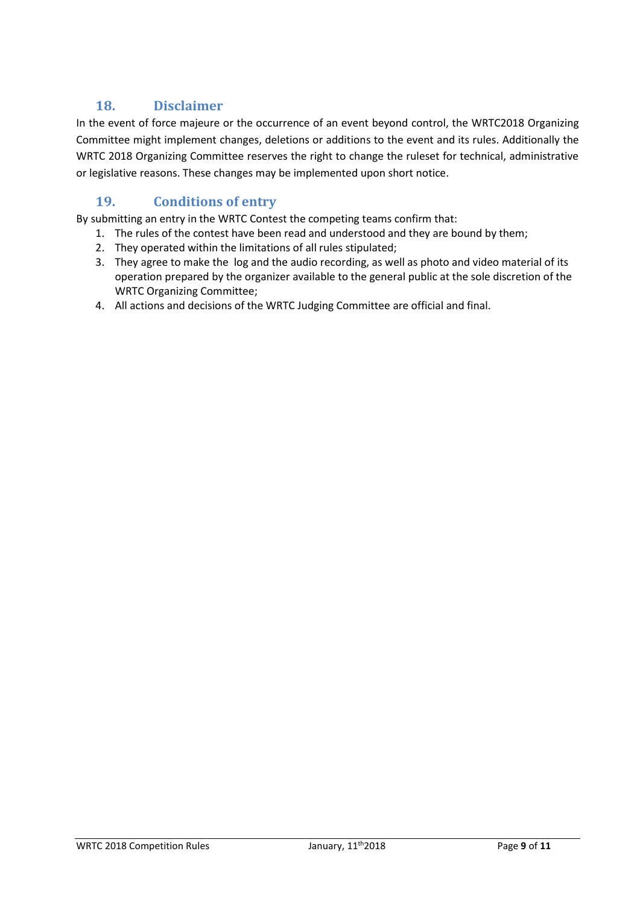## **18. Disclaimer**

In the event of force majeure or the occurrence of an event beyond control, the WRTC2018 Organizing Committee might implement changes, deletions or additions to the event and its rules. Additionally the WRTC 2018 Organizing Committee reserves the right to change the ruleset for technical, administrative or legislative reasons. These changes may be implemented upon short notice.

## **19. Conditions of entry**

By submitting an entry in the WRTC Contest the competing teams confirm that:

- 1. The rules of the contest have been read and understood and they are bound by them;
- 2. They operated within the limitations of all rules stipulated;
- 3. They agree to make the log and the audio recording, as well as photo and video material of its operation prepared by the organizer available to the general public at the sole discretion of the WRTC Organizing Committee;
- 4. All actions and decisions of the WRTC Judging Committee are official and final.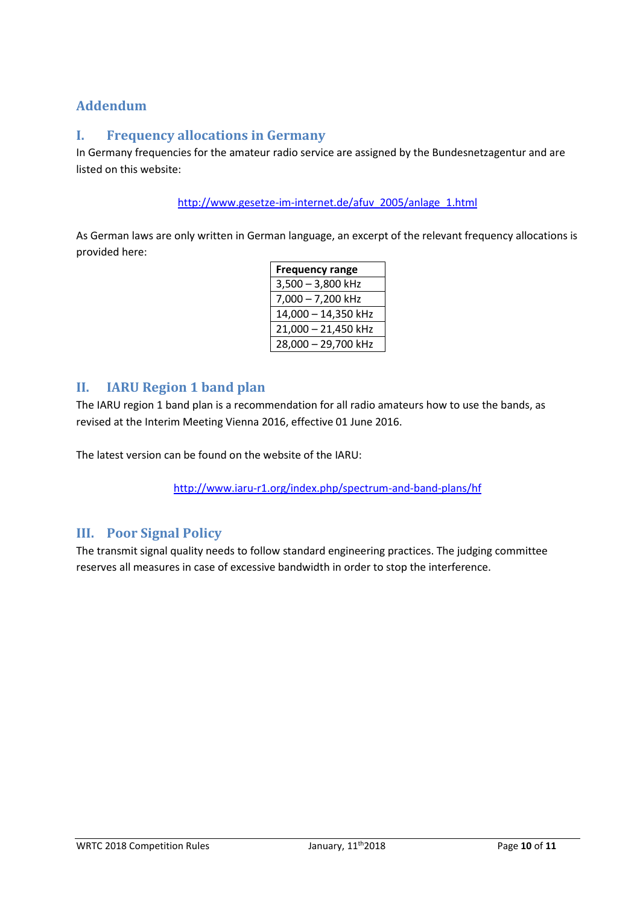## **Addendum**

## **I. Frequency allocations in Germany**

In Germany frequencies for the amateur radio service are assigned by the Bundesnetzagentur and are listed on this website:

[http://www.gesetze-im-internet.de/afuv\\_2005/anlage\\_1.html](http://www.gesetze-im-internet.de/afuv_2005/anlage_1.html)

As German laws are only written in German language, an excerpt of the relevant frequency allocations is provided here:

| <b>Frequency range</b> |  |  |
|------------------------|--|--|
| $3,500 - 3,800$ kHz    |  |  |
| 7,000 - 7,200 kHz      |  |  |
| 14,000 - 14,350 kHz    |  |  |
| 21,000 - 21,450 kHz    |  |  |
| 28,000 - 29,700 kHz    |  |  |

#### **II. IARU Region 1 band plan**

The IARU region 1 band plan is a recommendation for all radio amateurs how to use the bands, as revised at the Interim Meeting Vienna 2016, effective 01 June 2016.

The latest version can be found on the website of the IARU:

<http://www.iaru-r1.org/index.php/spectrum-and-band-plans/hf>

## **III. Poor Signal Policy**

The transmit signal quality needs to follow standard engineering practices. The judging committee reserves all measures in case of excessive bandwidth in order to stop the interference.